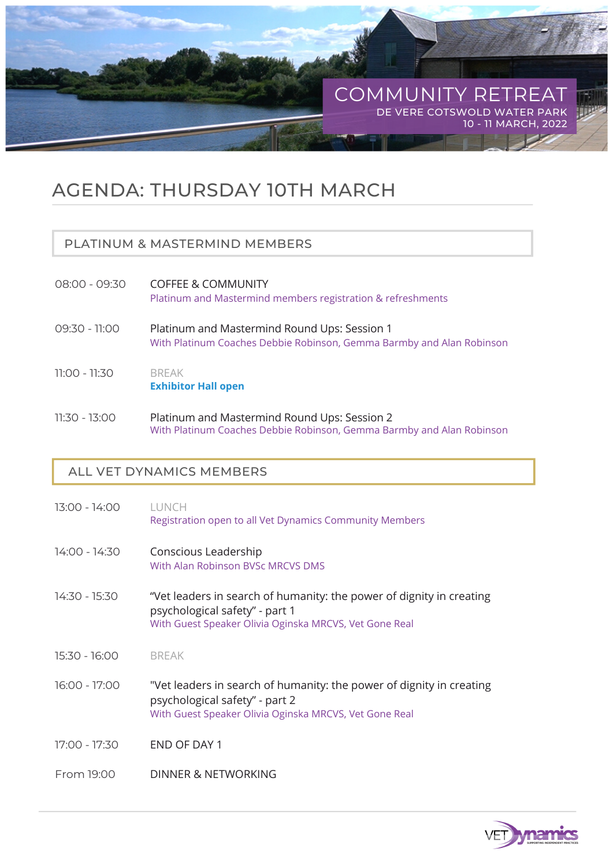

## AGENDA: THURSDAY 10TH MARCH

#### PLATINUM & MASTERMIND MEMBERS

- COFFEE & COMMUNITY 08:00 - 09:30 Platinum and Mastermind members registration & refreshments
- Platinum and Mastermind Round Ups: Session 1 09:30 - 11:00 With Platinum Coaches Debbie Robinson, Gemma Barmby and Alan Robinson
- BREAK 11:00 - 11:30 **Exhibitor Hall open**
- Platinum and Mastermind Round Ups: Session 2 11:30 - 13:00 With Platinum Coaches Debbie Robinson, Gemma Barmby and Alan Robinson

#### ALL VET DYNAMICS MEMBERS

LUNCH Conscious Leadership "Vet leaders in search of humanity: the power of dignity in creating psychological safety" - part 1 BREAK "Vet leaders in search of humanity: the power of dignity in creating psychological safety" - part 2 END OF DAY 1 DINNER & NETWORKING 13:00 - 14:00 14:00 - 14:30 14:30 - 15:30 15:30 - 16:00 16:00 - 17:00 17:00 - 17:30 From 19:00 With Guest Speaker Olivia Oginska MRCVS, Vet Gone Real Registration open to all Vet Dynamics Community Members With Alan Robinson BVSc MRCVS DMS With Guest Speaker Olivia Oginska MRCVS, Vet Gone Real